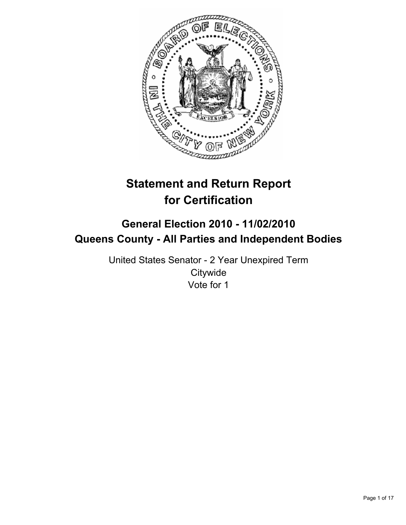

# **Statement and Return Report for Certification**

## **General Election 2010 - 11/02/2010 Queens County - All Parties and Independent Bodies**

United States Senator - 2 Year Unexpired Term **Citywide** Vote for 1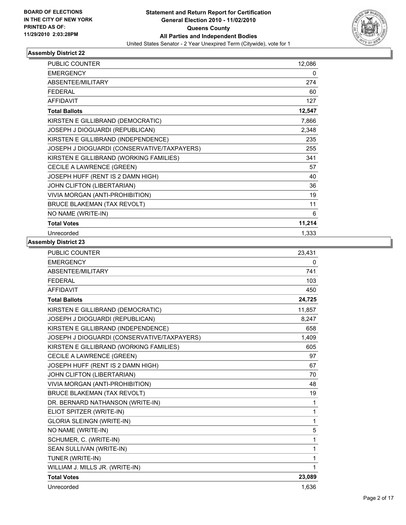

| PUBLIC COUNTER                              | 12,086 |
|---------------------------------------------|--------|
| <b>EMERGENCY</b>                            | 0      |
| ABSENTEE/MILITARY                           | 274    |
| <b>FEDERAL</b>                              | 60     |
| <b>AFFIDAVIT</b>                            | 127    |
| <b>Total Ballots</b>                        | 12,547 |
| KIRSTEN E GILLIBRAND (DEMOCRATIC)           | 7,866  |
| JOSEPH J DIOGUARDI (REPUBLICAN)             | 2,348  |
| KIRSTEN E GILLIBRAND (INDEPENDENCE)         | 235    |
| JOSEPH J DIOGUARDI (CONSERVATIVE/TAXPAYERS) | 255    |
| KIRSTEN E GILLIBRAND (WORKING FAMILIES)     | 341    |
| CECILE A LAWRENCE (GREEN)                   | 57     |
| JOSEPH HUFF (RENT IS 2 DAMN HIGH)           | 40     |
| JOHN CLIFTON (LIBERTARIAN)                  | 36     |
| VIVIA MORGAN (ANTI-PROHIBITION)             | 19     |
| <b>BRUCE BLAKEMAN (TAX REVOLT)</b>          | 11     |
| NO NAME (WRITE-IN)                          | 6      |
| <b>Total Votes</b>                          | 11,214 |
| Unrecorded                                  | 1,333  |

| <b>PUBLIC COUNTER</b>                       | 23,431 |
|---------------------------------------------|--------|
| <b>EMERGENCY</b>                            | 0      |
| ABSENTEE/MILITARY                           | 741    |
| <b>FEDERAL</b>                              | 103    |
| <b>AFFIDAVIT</b>                            | 450    |
| <b>Total Ballots</b>                        | 24,725 |
| KIRSTEN E GILLIBRAND (DEMOCRATIC)           | 11,857 |
| JOSEPH J DIOGUARDI (REPUBLICAN)             | 8.247  |
| KIRSTEN E GILLIBRAND (INDEPENDENCE)         | 658    |
| JOSEPH J DIOGUARDI (CONSERVATIVE/TAXPAYERS) | 1,409  |
| KIRSTEN E GILLIBRAND (WORKING FAMILIES)     | 605    |
| CECILE A LAWRENCE (GREEN)                   | 97     |
| JOSEPH HUFF (RENT IS 2 DAMN HIGH)           | 67     |
| JOHN CLIFTON (LIBERTARIAN)                  | 70     |
| VIVIA MORGAN (ANTI-PROHIBITION)             | 48     |
| <b>BRUCE BLAKEMAN (TAX REVOLT)</b>          | 19     |
| DR. BERNARD NATHANSON (WRITE-IN)            | 1      |
| ELIOT SPITZER (WRITE-IN)                    | 1      |
| <b>GLORIA SLEINGN (WRITE-IN)</b>            | 1      |
| NO NAME (WRITE-IN)                          | 5      |
| SCHUMER, C. (WRITE-IN)                      | 1      |
| SEAN SULLIVAN (WRITE-IN)                    | 1      |
| TUNER (WRITE-IN)                            | 1      |
| WILLIAM J. MILLS JR. (WRITE-IN)             | 1      |
| <b>Total Votes</b>                          | 23,089 |
| Unrecorded                                  | 1,636  |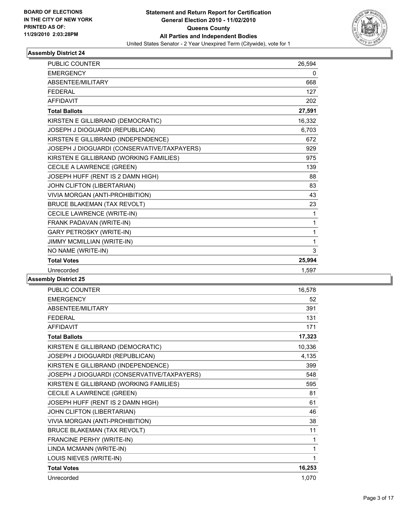

| <b>PUBLIC COUNTER</b>                       | 26.594       |
|---------------------------------------------|--------------|
| <b>EMERGENCY</b>                            | $\mathbf{0}$ |
| <b>ABSENTEE/MILITARY</b>                    | 668          |
| <b>FEDERAL</b>                              | 127          |
| <b>AFFIDAVIT</b>                            | 202          |
| <b>Total Ballots</b>                        | 27,591       |
| KIRSTEN E GILLIBRAND (DEMOCRATIC)           | 16,332       |
| JOSEPH J DIOGUARDI (REPUBLICAN)             | 6,703        |
| KIRSTEN E GILLIBRAND (INDEPENDENCE)         | 672          |
| JOSEPH J DIOGUARDI (CONSERVATIVE/TAXPAYERS) | 929          |
| KIRSTEN E GILLIBRAND (WORKING FAMILIES)     | 975          |
| CECILE A LAWRENCE (GREEN)                   | 139          |
| JOSEPH HUFF (RENT IS 2 DAMN HIGH)           | 88           |
| JOHN CLIFTON (LIBERTARIAN)                  | 83           |
| VIVIA MORGAN (ANTI-PROHIBITION)             | 43           |
| <b>BRUCE BLAKEMAN (TAX REVOLT)</b>          | 23           |
| CECILE LAWRENCE (WRITE-IN)                  | 1            |
| FRANK PADAVAN (WRITE-IN)                    | 1            |
| <b>GARY PETROSKY (WRITE-IN)</b>             | 1            |
| JIMMY MCMILLIAN (WRITE-IN)                  | 1            |
| NO NAME (WRITE-IN)                          | 3            |
| <b>Total Votes</b>                          | 25,994       |
| Unrecorded                                  | 1,597        |

| <b>PUBLIC COUNTER</b>                       | 16,578 |
|---------------------------------------------|--------|
| <b>EMERGENCY</b>                            | 52     |
| ABSENTEE/MILITARY                           | 391    |
| <b>FEDERAL</b>                              | 131    |
| <b>AFFIDAVIT</b>                            | 171    |
| <b>Total Ballots</b>                        | 17,323 |
| KIRSTEN E GILLIBRAND (DEMOCRATIC)           | 10,336 |
| JOSEPH J DIOGUARDI (REPUBLICAN)             | 4,135  |
| KIRSTEN E GILLIBRAND (INDEPENDENCE)         | 399    |
| JOSEPH J DIOGUARDI (CONSERVATIVE/TAXPAYERS) | 548    |
| KIRSTEN E GILLIBRAND (WORKING FAMILIES)     | 595    |
| CECILE A LAWRENCE (GREEN)                   | 81     |
| JOSEPH HUFF (RENT IS 2 DAMN HIGH)           | 61     |
| JOHN CLIFTON (LIBERTARIAN)                  | 46     |
| VIVIA MORGAN (ANTI-PROHIBITION)             | 38     |
| <b>BRUCE BLAKEMAN (TAX REVOLT)</b>          | 11     |
| FRANCINE PERHY (WRITE-IN)                   | 1      |
| LINDA MCMANN (WRITE-IN)                     | 1      |
| LOUIS NIEVES (WRITE-IN)                     | 1      |
| <b>Total Votes</b>                          | 16,253 |
| Unrecorded                                  | 1,070  |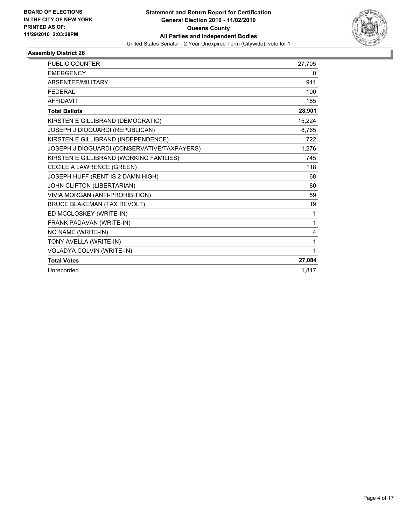

| <b>PUBLIC COUNTER</b>                       | 27,705 |
|---------------------------------------------|--------|
| <b>EMERGENCY</b>                            | 0      |
| ABSENTEE/MILITARY                           | 911    |
| <b>FEDERAL</b>                              | 100    |
| <b>AFFIDAVIT</b>                            | 185    |
| <b>Total Ballots</b>                        | 28,901 |
| KIRSTEN E GILLIBRAND (DEMOCRATIC)           | 15.224 |
| JOSEPH J DIOGUARDI (REPUBLICAN)             | 8,765  |
| KIRSTEN E GILLIBRAND (INDEPENDENCE)         | 722    |
| JOSEPH J DIOGUARDI (CONSERVATIVE/TAXPAYERS) | 1,276  |
| KIRSTEN E GILLIBRAND (WORKING FAMILIES)     | 745    |
| CECILE A LAWRENCE (GREEN)                   | 118    |
| JOSEPH HUFF (RENT IS 2 DAMN HIGH)           | 68     |
| JOHN CLIFTON (LIBERTARIAN)                  | 80     |
| VIVIA MORGAN (ANTI-PROHIBITION)             | 59     |
| <b>BRUCE BLAKEMAN (TAX REVOLT)</b>          | 19     |
| ED MCCLOSKEY (WRITE-IN)                     | 1      |
| FRANK PADAVAN (WRITE-IN)                    | 1      |
| NO NAME (WRITE-IN)                          | 4      |
| TONY AVELLA (WRITE-IN)                      | 1      |
| VOLADYA COLVIN (WRITE-IN)                   | 1      |
| <b>Total Votes</b>                          | 27,084 |
| Unrecorded                                  | 1.817  |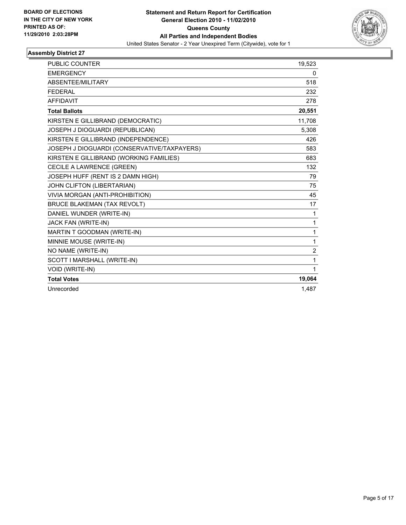

| <b>PUBLIC COUNTER</b>                       | 19,523         |
|---------------------------------------------|----------------|
| <b>EMERGENCY</b>                            | 0              |
| ABSENTEE/MILITARY                           | 518            |
| <b>FEDERAL</b>                              | 232            |
| <b>AFFIDAVIT</b>                            | 278            |
| <b>Total Ballots</b>                        | 20,551         |
| KIRSTEN E GILLIBRAND (DEMOCRATIC)           | 11,708         |
| JOSEPH J DIOGUARDI (REPUBLICAN)             | 5,308          |
| KIRSTEN E GILLIBRAND (INDEPENDENCE)         | 426            |
| JOSEPH J DIOGUARDI (CONSERVATIVE/TAXPAYERS) | 583            |
| KIRSTEN E GILLIBRAND (WORKING FAMILIES)     | 683            |
| CECILE A LAWRENCE (GREEN)                   | 132            |
| JOSEPH HUFF (RENT IS 2 DAMN HIGH)           | 79             |
| JOHN CLIFTON (LIBERTARIAN)                  | 75             |
| VIVIA MORGAN (ANTI-PROHIBITION)             | 45             |
| <b>BRUCE BLAKEMAN (TAX REVOLT)</b>          | 17             |
| DANIEL WUNDER (WRITE-IN)                    | 1              |
| JACK FAN (WRITE-IN)                         | 1              |
| MARTIN T GOODMAN (WRITE-IN)                 | 1              |
| MINNIE MOUSE (WRITE-IN)                     | 1              |
| NO NAME (WRITE-IN)                          | $\overline{2}$ |
| SCOTT I MARSHALL (WRITE-IN)                 | 1              |
| VOID (WRITE-IN)                             | 1              |
| <b>Total Votes</b>                          | 19,064         |
| Unrecorded                                  | 1.487          |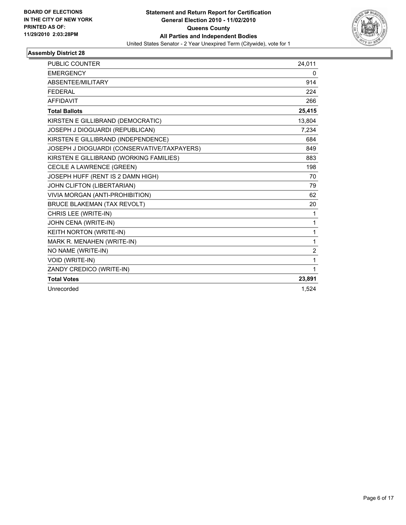

| <b>PUBLIC COUNTER</b>                       | 24.011         |
|---------------------------------------------|----------------|
| <b>EMERGENCY</b>                            | 0              |
| ABSENTEE/MILITARY                           | 914            |
| <b>FEDERAL</b>                              | 224            |
| <b>AFFIDAVIT</b>                            | 266            |
| <b>Total Ballots</b>                        | 25,415         |
| KIRSTEN E GILLIBRAND (DEMOCRATIC)           | 13,804         |
| JOSEPH J DIOGUARDI (REPUBLICAN)             | 7,234          |
| KIRSTEN E GILLIBRAND (INDEPENDENCE)         | 684            |
| JOSEPH J DIOGUARDI (CONSERVATIVE/TAXPAYERS) | 849            |
| KIRSTEN E GILLIBRAND (WORKING FAMILIES)     | 883            |
| CECILE A LAWRENCE (GREEN)                   | 198            |
| JOSEPH HUFF (RENT IS 2 DAMN HIGH)           | 70             |
| JOHN CLIFTON (LIBERTARIAN)                  | 79             |
| VIVIA MORGAN (ANTI-PROHIBITION)             | 62             |
| <b>BRUCE BLAKEMAN (TAX REVOLT)</b>          | 20             |
| CHRIS LEE (WRITE-IN)                        | $\mathbf{1}$   |
| JOHN CENA (WRITE-IN)                        | 1              |
| <b>KEITH NORTON (WRITE-IN)</b>              | 1              |
| MARK R. MENAHEN (WRITE-IN)                  | 1              |
| NO NAME (WRITE-IN)                          | $\overline{2}$ |
| VOID (WRITE-IN)                             | 1              |
| ZANDY CREDICO (WRITE-IN)                    | 1              |
| <b>Total Votes</b>                          | 23,891         |
| Unrecorded                                  | 1.524          |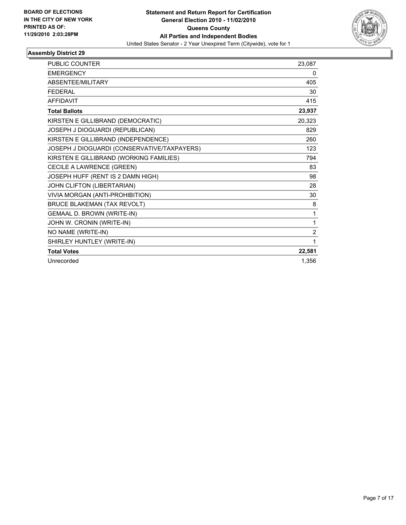

| PUBLIC COUNTER                              | 23,087         |
|---------------------------------------------|----------------|
| <b>EMERGENCY</b>                            | 0              |
| <b>ABSENTEE/MILITARY</b>                    | 405            |
| <b>FEDERAL</b>                              | 30             |
| <b>AFFIDAVIT</b>                            | 415            |
| <b>Total Ballots</b>                        | 23,937         |
| KIRSTEN E GILLIBRAND (DEMOCRATIC)           | 20,323         |
| JOSEPH J DIOGUARDI (REPUBLICAN)             | 829            |
| KIRSTEN E GILLIBRAND (INDEPENDENCE)         | 260            |
| JOSEPH J DIOGUARDI (CONSERVATIVE/TAXPAYERS) | 123            |
| KIRSTEN E GILLIBRAND (WORKING FAMILIES)     | 794            |
| CECILE A LAWRENCE (GREEN)                   | 83             |
| JOSEPH HUFF (RENT IS 2 DAMN HIGH)           | 98             |
| JOHN CLIFTON (LIBERTARIAN)                  | 28             |
| VIVIA MORGAN (ANTI-PROHIBITION)             | 30             |
| <b>BRUCE BLAKEMAN (TAX REVOLT)</b>          | 8              |
| GEMAAL D. BROWN (WRITE-IN)                  | 1              |
| JOHN W. CRONIN (WRITE-IN)                   | 1              |
| NO NAME (WRITE-IN)                          | $\overline{2}$ |
| SHIRLEY HUNTLEY (WRITE-IN)                  | 1              |
| <b>Total Votes</b>                          | 22,581         |
| Unrecorded                                  | 1,356          |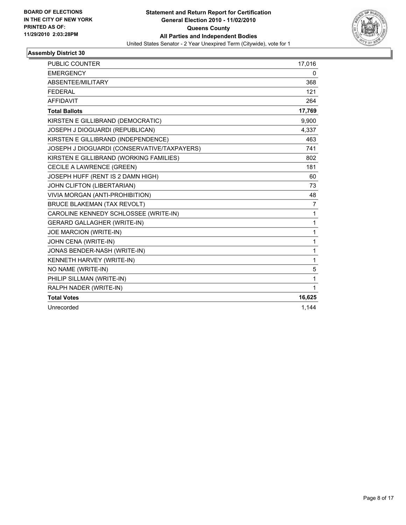

| <b>PUBLIC COUNTER</b>                       | 17,016 |
|---------------------------------------------|--------|
| <b>EMERGENCY</b>                            | 0      |
| ABSENTEE/MILITARY                           | 368    |
| <b>FEDERAL</b>                              | 121    |
| <b>AFFIDAVIT</b>                            | 264    |
| <b>Total Ballots</b>                        | 17,769 |
| KIRSTEN E GILLIBRAND (DEMOCRATIC)           | 9,900  |
| JOSEPH J DIOGUARDI (REPUBLICAN)             | 4,337  |
| KIRSTEN E GILLIBRAND (INDEPENDENCE)         | 463    |
| JOSEPH J DIOGUARDI (CONSERVATIVE/TAXPAYERS) | 741    |
| KIRSTEN E GILLIBRAND (WORKING FAMILIES)     | 802    |
| CECILE A LAWRENCE (GREEN)                   | 181    |
| JOSEPH HUFF (RENT IS 2 DAMN HIGH)           | 60     |
| JOHN CLIFTON (LIBERTARIAN)                  | 73     |
| VIVIA MORGAN (ANTI-PROHIBITION)             | 48     |
| <b>BRUCE BLAKEMAN (TAX REVOLT)</b>          | 7      |
| CAROLINE KENNEDY SCHLOSSEE (WRITE-IN)       | 1      |
| <b>GERARD GALLAGHER (WRITE-IN)</b>          | 1      |
| <b>JOE MARCION (WRITE-IN)</b>               | 1      |
| JOHN CENA (WRITE-IN)                        | 1      |
| JONAS BENDER-NASH (WRITE-IN)                | 1      |
| KENNETH HARVEY (WRITE-IN)                   | 1      |
| NO NAME (WRITE-IN)                          | 5      |
| PHILIP SILLMAN (WRITE-IN)                   | 1      |
| RALPH NADER (WRITE-IN)                      | 1      |
| <b>Total Votes</b>                          | 16,625 |
| Unrecorded                                  | 1.144  |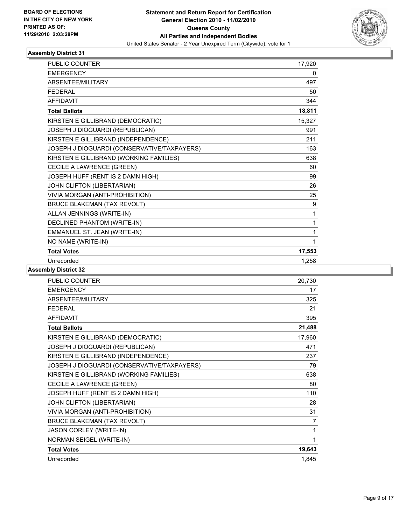

| PUBLIC COUNTER                              | 17,920 |
|---------------------------------------------|--------|
| <b>EMERGENCY</b>                            | 0      |
| <b>ABSENTEE/MILITARY</b>                    | 497    |
| <b>FEDERAL</b>                              | 50     |
| <b>AFFIDAVIT</b>                            | 344    |
| <b>Total Ballots</b>                        | 18,811 |
| KIRSTEN E GILLIBRAND (DEMOCRATIC)           | 15,327 |
| JOSEPH J DIOGUARDI (REPUBLICAN)             | 991    |
| KIRSTEN E GILLIBRAND (INDEPENDENCE)         | 211    |
| JOSEPH J DIOGUARDI (CONSERVATIVE/TAXPAYERS) | 163    |
| KIRSTEN E GILLIBRAND (WORKING FAMILIES)     | 638    |
| CECILE A LAWRENCE (GREEN)                   | 60     |
| JOSEPH HUFF (RENT IS 2 DAMN HIGH)           | 99     |
| JOHN CLIFTON (LIBERTARIAN)                  | 26     |
| VIVIA MORGAN (ANTI-PROHIBITION)             | 25     |
| <b>BRUCE BLAKEMAN (TAX REVOLT)</b>          | 9      |
| ALLAN JENNINGS (WRITE-IN)                   | 1      |
| DECLINED PHANTOM (WRITE-IN)                 | 1      |
| EMMANUEL ST. JEAN (WRITE-IN)                | 1      |
| NO NAME (WRITE-IN)                          | 1      |
| <b>Total Votes</b>                          | 17,553 |
| Unrecorded                                  | 1,258  |

| <b>PUBLIC COUNTER</b>                       | 20,730 |
|---------------------------------------------|--------|
| <b>EMERGENCY</b>                            | 17     |
| ABSENTEE/MILITARY                           | 325    |
| <b>FEDERAL</b>                              | 21     |
| <b>AFFIDAVIT</b>                            | 395    |
| <b>Total Ballots</b>                        | 21,488 |
| KIRSTEN E GILLIBRAND (DEMOCRATIC)           | 17,960 |
| JOSEPH J DIOGUARDI (REPUBLICAN)             | 471    |
| KIRSTEN E GILLIBRAND (INDEPENDENCE)         | 237    |
| JOSEPH J DIOGUARDI (CONSERVATIVE/TAXPAYERS) | 79     |
| KIRSTEN E GILLIBRAND (WORKING FAMILIES)     | 638    |
| CECILE A LAWRENCE (GREEN)                   | 80     |
| JOSEPH HUFF (RENT IS 2 DAMN HIGH)           | 110    |
| JOHN CLIFTON (LIBERTARIAN)                  | 28     |
| VIVIA MORGAN (ANTI-PROHIBITION)             | 31     |
| <b>BRUCE BLAKEMAN (TAX REVOLT)</b>          | 7      |
| JASON CORLEY (WRITE-IN)                     | 1      |
| NORMAN SEIGEL (WRITE-IN)                    | 1      |
| <b>Total Votes</b>                          | 19,643 |
| Unrecorded                                  | 1,845  |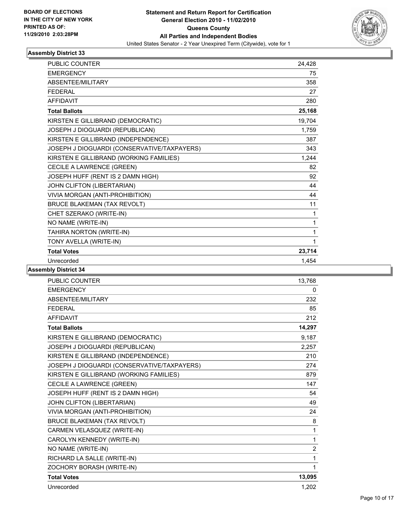

| <b>PUBLIC COUNTER</b>                       | 24,428 |
|---------------------------------------------|--------|
| <b>EMERGENCY</b>                            | 75     |
| <b>ABSENTEE/MILITARY</b>                    | 358    |
| FFDFRAI                                     | 27     |
| <b>AFFIDAVIT</b>                            | 280    |
| <b>Total Ballots</b>                        | 25,168 |
| KIRSTEN E GILLIBRAND (DEMOCRATIC)           | 19,704 |
| JOSEPH J DIOGUARDI (REPUBLICAN)             | 1,759  |
| KIRSTEN E GILLIBRAND (INDEPENDENCE)         | 387    |
| JOSEPH J DIOGUARDI (CONSERVATIVE/TAXPAYERS) | 343    |
| KIRSTEN E GILLIBRAND (WORKING FAMILIES)     | 1,244  |
| CECILE A LAWRENCE (GREEN)                   | 82     |
| JOSEPH HUFF (RENT IS 2 DAMN HIGH)           | 92     |
| JOHN CLIFTON (LIBERTARIAN)                  | 44     |
| VIVIA MORGAN (ANTI-PROHIBITION)             | 44     |
| <b>BRUCE BLAKEMAN (TAX REVOLT)</b>          | 11     |
| CHET SZERAKO (WRITE-IN)                     | 1      |
| NO NAME (WRITE-IN)                          | 1      |
| TAHIRA NORTON (WRITE-IN)                    | 1      |
| TONY AVELLA (WRITE-IN)                      | 1      |
| <b>Total Votes</b>                          | 23,714 |
| Unrecorded                                  | 1.454  |

| <b>PUBLIC COUNTER</b>                       | 13,768         |
|---------------------------------------------|----------------|
| <b>EMERGENCY</b>                            | 0              |
| ABSENTEE/MILITARY                           | 232            |
| <b>FEDERAL</b>                              | 85             |
| <b>AFFIDAVIT</b>                            | 212            |
| <b>Total Ballots</b>                        | 14,297         |
| KIRSTEN E GILLIBRAND (DEMOCRATIC)           | 9,187          |
| JOSEPH J DIOGUARDI (REPUBLICAN)             | 2,257          |
| KIRSTEN E GILLIBRAND (INDEPENDENCE)         | 210            |
| JOSEPH J DIOGUARDI (CONSERVATIVE/TAXPAYERS) | 274            |
| KIRSTEN E GILLIBRAND (WORKING FAMILIES)     | 879            |
| CECILE A LAWRENCE (GREEN)                   | 147            |
| JOSEPH HUFF (RENT IS 2 DAMN HIGH)           | 54             |
| JOHN CLIFTON (LIBERTARIAN)                  | 49             |
| VIVIA MORGAN (ANTI-PROHIBITION)             | 24             |
| <b>BRUCE BLAKEMAN (TAX REVOLT)</b>          | 8              |
| CARMEN VELASQUEZ (WRITE-IN)                 | 1              |
| CAROLYN KENNEDY (WRITE-IN)                  | 1              |
| NO NAME (WRITE-IN)                          | $\overline{c}$ |
| RICHARD LA SALLE (WRITE-IN)                 | 1              |
| ZOCHORY BORASH (WRITE-IN)                   | 1              |
| <b>Total Votes</b>                          | 13,095         |
| Unrecorded                                  | 1,202          |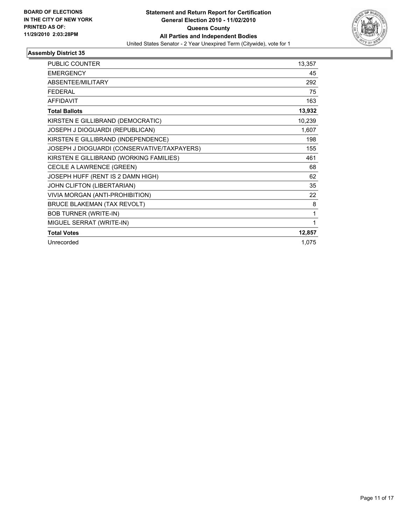

| <b>PUBLIC COUNTER</b>                       | 13,357 |
|---------------------------------------------|--------|
| <b>EMERGENCY</b>                            | 45     |
| ABSENTEE/MILITARY                           | 292    |
| <b>FEDERAL</b>                              | 75     |
| <b>AFFIDAVIT</b>                            | 163    |
| <b>Total Ballots</b>                        | 13,932 |
| KIRSTEN E GILLIBRAND (DEMOCRATIC)           | 10,239 |
| JOSEPH J DIOGUARDI (REPUBLICAN)             | 1,607  |
| KIRSTEN E GILLIBRAND (INDEPENDENCE)         | 198    |
| JOSEPH J DIOGUARDI (CONSERVATIVE/TAXPAYERS) | 155    |
| KIRSTEN E GILLIBRAND (WORKING FAMILIES)     | 461    |
| CECILE A LAWRENCE (GREEN)                   | 68     |
| JOSEPH HUFF (RENT IS 2 DAMN HIGH)           | 62     |
| JOHN CLIFTON (LIBERTARIAN)                  | 35     |
| VIVIA MORGAN (ANTI-PROHIBITION)             | 22     |
| <b>BRUCE BLAKEMAN (TAX REVOLT)</b>          | 8      |
| <b>BOB TURNER (WRITE-IN)</b>                | 1      |
| MIGUEL SERRAT (WRITE-IN)                    | 1      |
| <b>Total Votes</b>                          | 12,857 |
| Unrecorded                                  | 1,075  |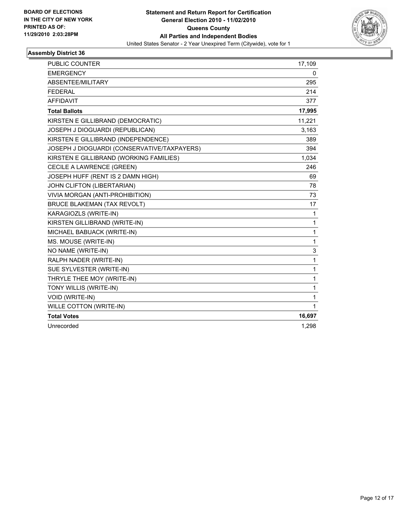

| <b>PUBLIC COUNTER</b>                       | 17,109       |
|---------------------------------------------|--------------|
| <b>EMERGENCY</b>                            | 0            |
| ABSENTEE/MILITARY                           | 295          |
| <b>FEDERAL</b>                              | 214          |
| <b>AFFIDAVIT</b>                            | 377          |
| <b>Total Ballots</b>                        | 17,995       |
| KIRSTEN E GILLIBRAND (DEMOCRATIC)           | 11,221       |
| JOSEPH J DIOGUARDI (REPUBLICAN)             | 3,163        |
| KIRSTEN E GILLIBRAND (INDEPENDENCE)         | 389          |
| JOSEPH J DIOGUARDI (CONSERVATIVE/TAXPAYERS) | 394          |
| KIRSTEN E GILLIBRAND (WORKING FAMILIES)     | 1,034        |
| CECILE A LAWRENCE (GREEN)                   | 246          |
| JOSEPH HUFF (RENT IS 2 DAMN HIGH)           | 69           |
| JOHN CLIFTON (LIBERTARIAN)                  | 78           |
| VIVIA MORGAN (ANTI-PROHIBITION)             | 73           |
| <b>BRUCE BLAKEMAN (TAX REVOLT)</b>          | 17           |
| KARAGIOZLS (WRITE-IN)                       | 1            |
| KIRSTEN GILLIBRAND (WRITE-IN)               | 1            |
| MICHAEL BABUACK (WRITE-IN)                  | $\mathbf{1}$ |
| MS. MOUSE (WRITE-IN)                        | 1            |
| NO NAME (WRITE-IN)                          | 3            |
| RALPH NADER (WRITE-IN)                      | 1            |
| SUE SYLVESTER (WRITE-IN)                    | 1            |
| THRYLE THEE MOY (WRITE-IN)                  | 1            |
| TONY WILLIS (WRITE-IN)                      | $\mathbf{1}$ |
| VOID (WRITE-IN)                             | 1            |
| WILLE COTTON (WRITE-IN)                     | 1            |
| <b>Total Votes</b>                          | 16,697       |
| Unrecorded                                  | 1,298        |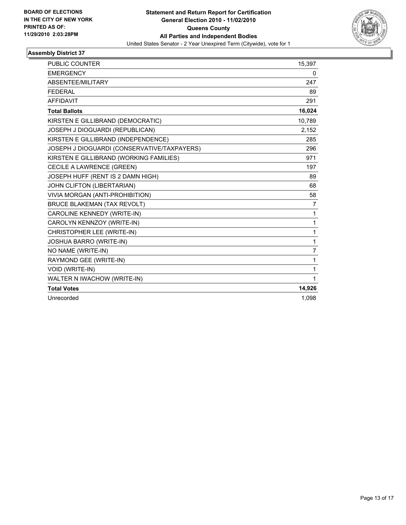

| <b>PUBLIC COUNTER</b>                       | 15,397 |
|---------------------------------------------|--------|
| <b>EMERGENCY</b>                            | 0      |
| ABSENTEE/MILITARY                           | 247    |
| <b>FEDERAL</b>                              | 89     |
| <b>AFFIDAVIT</b>                            | 291    |
| <b>Total Ballots</b>                        | 16,024 |
| KIRSTEN E GILLIBRAND (DEMOCRATIC)           | 10,789 |
| JOSEPH J DIOGUARDI (REPUBLICAN)             | 2,152  |
| KIRSTEN E GILLIBRAND (INDEPENDENCE)         | 285    |
| JOSEPH J DIOGUARDI (CONSERVATIVE/TAXPAYERS) | 296    |
| KIRSTEN E GILLIBRAND (WORKING FAMILIES)     | 971    |
| CECILE A LAWRENCE (GREEN)                   | 197    |
| JOSEPH HUFF (RENT IS 2 DAMN HIGH)           | 89     |
| JOHN CLIFTON (LIBERTARIAN)                  | 68     |
| VIVIA MORGAN (ANTI-PROHIBITION)             | 58     |
| <b>BRUCE BLAKEMAN (TAX REVOLT)</b>          | 7      |
| CAROLINE KENNEDY (WRITE-IN)                 | 1      |
| CAROLYN KENNZOY (WRITE-IN)                  | 1      |
| CHRISTOPHER LEE (WRITE-IN)                  | 1      |
| JOSHUA BARRO (WRITE-IN)                     | 1      |
| NO NAME (WRITE-IN)                          | 7      |
| RAYMOND GEE (WRITE-IN)                      | 1      |
| <b>VOID (WRITE-IN)</b>                      | 1      |
| WALTER N IWACHOW (WRITE-IN)                 | 1      |
| <b>Total Votes</b>                          | 14,926 |
| Unrecorded                                  | 1,098  |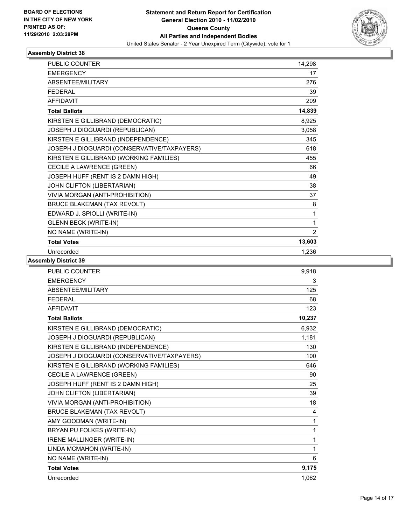

| <b>PUBLIC COUNTER</b>                       | 14,298         |
|---------------------------------------------|----------------|
| <b>EMERGENCY</b>                            | 17             |
| ABSENTEE/MILITARY                           | 276            |
| <b>FEDERAL</b>                              | 39             |
| <b>AFFIDAVIT</b>                            | 209            |
| <b>Total Ballots</b>                        | 14,839         |
| KIRSTEN E GILLIBRAND (DEMOCRATIC)           | 8,925          |
| JOSEPH J DIOGUARDI (REPUBLICAN)             | 3,058          |
| KIRSTEN E GILLIBRAND (INDEPENDENCE)         | 345            |
| JOSEPH J DIOGUARDI (CONSERVATIVE/TAXPAYERS) | 618            |
| KIRSTEN E GILLIBRAND (WORKING FAMILIES)     | 455            |
| CECILE A LAWRENCE (GREEN)                   | 66             |
| JOSEPH HUFF (RENT IS 2 DAMN HIGH)           | 49             |
| JOHN CLIFTON (LIBERTARIAN)                  | 38             |
| VIVIA MORGAN (ANTI-PROHIBITION)             | 37             |
| <b>BRUCE BLAKEMAN (TAX REVOLT)</b>          | 8              |
| EDWARD J. SPIOLLI (WRITE-IN)                | 1              |
| <b>GLENN BECK (WRITE-IN)</b>                | 1              |
| NO NAME (WRITE-IN)                          | $\overline{2}$ |
| <b>Total Votes</b>                          | 13,603         |
| Unrecorded                                  | 1,236          |

| <b>PUBLIC COUNTER</b>                       | 9,918  |
|---------------------------------------------|--------|
| <b>EMERGENCY</b>                            | 3      |
| ABSENTEE/MILITARY                           | 125    |
| <b>FEDERAL</b>                              | 68     |
| <b>AFFIDAVIT</b>                            | 123    |
| <b>Total Ballots</b>                        | 10,237 |
| KIRSTEN E GILLIBRAND (DEMOCRATIC)           | 6,932  |
| JOSEPH J DIOGUARDI (REPUBLICAN)             | 1,181  |
| KIRSTEN E GILLIBRAND (INDEPENDENCE)         | 130    |
| JOSEPH J DIOGUARDI (CONSERVATIVE/TAXPAYERS) | 100    |
| KIRSTEN E GILLIBRAND (WORKING FAMILIES)     | 646    |
| CECILE A LAWRENCE (GREEN)                   | 90     |
| JOSEPH HUFF (RENT IS 2 DAMN HIGH)           | 25     |
| JOHN CLIFTON (LIBERTARIAN)                  | 39     |
| VIVIA MORGAN (ANTI-PROHIBITION)             | 18     |
| <b>BRUCE BLAKEMAN (TAX REVOLT)</b>          | 4      |
| AMY GOODMAN (WRITE-IN)                      | 1      |
| BRYAN PU FOLKES (WRITE-IN)                  | 1      |
| IRENE MALLINGER (WRITE-IN)                  | 1      |
| LINDA MCMAHON (WRITE-IN)                    | 1      |
| NO NAME (WRITE-IN)                          | 6      |
| <b>Total Votes</b>                          | 9,175  |
| Unrecorded                                  | 1,062  |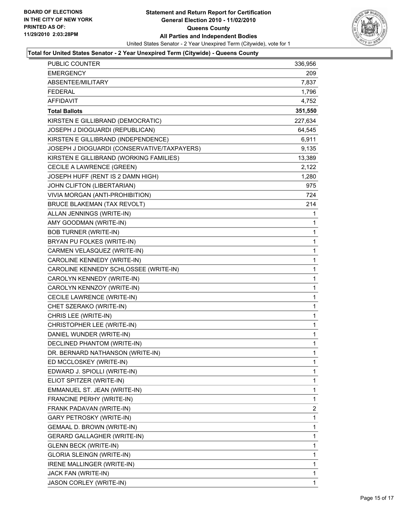

#### **Total for United States Senator - 2 Year Unexpired Term (Citywide) - Queens County**

| <b>PUBLIC COUNTER</b>                       | 336,956 |
|---------------------------------------------|---------|
| <b>EMERGENCY</b>                            | 209     |
| ABSENTEE/MILITARY                           | 7,837   |
| <b>FEDERAL</b>                              | 1,796   |
| <b>AFFIDAVIT</b>                            | 4,752   |
| <b>Total Ballots</b>                        | 351,550 |
| KIRSTEN E GILLIBRAND (DEMOCRATIC)           | 227,634 |
| JOSEPH J DIOGUARDI (REPUBLICAN)             | 64,545  |
| KIRSTEN E GILLIBRAND (INDEPENDENCE)         | 6,911   |
| JOSEPH J DIOGUARDI (CONSERVATIVE/TAXPAYERS) | 9,135   |
| KIRSTEN E GILLIBRAND (WORKING FAMILIES)     | 13,389  |
| CECILE A LAWRENCE (GREEN)                   | 2,122   |
| JOSEPH HUFF (RENT IS 2 DAMN HIGH)           | 1,280   |
| JOHN CLIFTON (LIBERTARIAN)                  | 975     |
| VIVIA MORGAN (ANTI-PROHIBITION)             | 724     |
| <b>BRUCE BLAKEMAN (TAX REVOLT)</b>          | 214     |
| ALLAN JENNINGS (WRITE-IN)                   | 1       |
| AMY GOODMAN (WRITE-IN)                      | 1       |
| <b>BOB TURNER (WRITE-IN)</b>                | 1       |
| BRYAN PU FOLKES (WRITE-IN)                  | 1       |
| CARMEN VELASQUEZ (WRITE-IN)                 | 1       |
| CAROLINE KENNEDY (WRITE-IN)                 | 1       |
| CAROLINE KENNEDY SCHLOSSEE (WRITE-IN)       | 1       |
| CAROLYN KENNEDY (WRITE-IN)                  | 1       |
| CAROLYN KENNZOY (WRITE-IN)                  | 1       |
| CECILE LAWRENCE (WRITE-IN)                  | 1       |
| CHET SZERAKO (WRITE-IN)                     | 1       |
| CHRIS LEE (WRITE-IN)                        | 1       |
| CHRISTOPHER LEE (WRITE-IN)                  | 1       |
| DANIEL WUNDER (WRITE-IN)                    | 1       |
| <b>DECLINED PHANTOM (WRITE-IN)</b>          | 1       |
| DR. BERNARD NATHANSON (WRITE-IN)            | 1       |
| ED MCCLOSKEY (WRITE-IN)                     | 1       |
| EDWARD J. SPIOLLI (WRITE-IN)                | 1       |
| ELIOT SPITZER (WRITE-IN)                    | 1       |
| EMMANUEL ST. JEAN (WRITE-IN)                | 1       |
| FRANCINE PERHY (WRITE-IN)                   | 1       |
| FRANK PADAVAN (WRITE-IN)                    | 2       |
| <b>GARY PETROSKY (WRITE-IN)</b>             | 1       |
| GEMAAL D. BROWN (WRITE-IN)                  | 1       |
| <b>GERARD GALLAGHER (WRITE-IN)</b>          | 1       |
| <b>GLENN BECK (WRITE-IN)</b>                | 1       |
| <b>GLORIA SLEINGN (WRITE-IN)</b>            | 1       |
| IRENE MALLINGER (WRITE-IN)                  | 1       |
| JACK FAN (WRITE-IN)                         | 1       |
| JASON CORLEY (WRITE-IN)                     | 1       |
|                                             |         |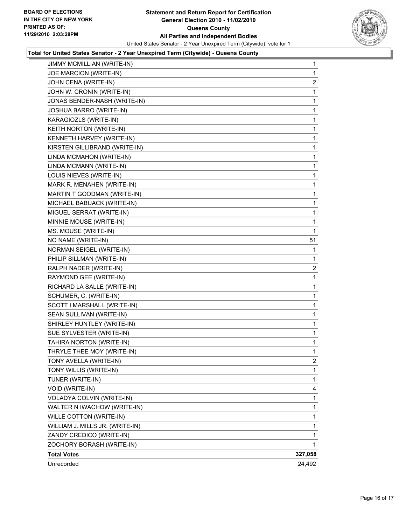

#### **Total for United States Senator - 2 Year Unexpired Term (Citywide) - Queens County**

| JIMMY MCMILLIAN (WRITE-IN)      | $\mathbf 1$  |
|---------------------------------|--------------|
| JOE MARCION (WRITE-IN)          | $\mathbf{1}$ |
| JOHN CENA (WRITE-IN)            | 2            |
| JOHN W. CRONIN (WRITE-IN)       | 1            |
| JONAS BENDER-NASH (WRITE-IN)    | 1            |
| JOSHUA BARRO (WRITE-IN)         | 1            |
| KARAGIOZLS (WRITE-IN)           | 1            |
| KEITH NORTON (WRITE-IN)         | 1            |
| KENNETH HARVEY (WRITE-IN)       | 1            |
| KIRSTEN GILLIBRAND (WRITE-IN)   | 1            |
| LINDA MCMAHON (WRITE-IN)        | 1            |
| LINDA MCMANN (WRITE-IN)         | 1            |
| LOUIS NIEVES (WRITE-IN)         | 1            |
| MARK R. MENAHEN (WRITE-IN)      | 1            |
| MARTIN T GOODMAN (WRITE-IN)     | 1            |
| MICHAEL BABUACK (WRITE-IN)      | 1            |
| MIGUEL SERRAT (WRITE-IN)        | $\mathbf 1$  |
| MINNIE MOUSE (WRITE-IN)         | 1            |
| MS. MOUSE (WRITE-IN)            | 1            |
| NO NAME (WRITE-IN)              | 51           |
| <b>NORMAN SEIGEL (WRITE-IN)</b> | 1            |
| PHILIP SILLMAN (WRITE-IN)       | 1            |
| RALPH NADER (WRITE-IN)          | 2            |
| RAYMOND GEE (WRITE-IN)          | 1            |
| RICHARD LA SALLE (WRITE-IN)     | 1            |
| SCHUMER, C. (WRITE-IN)          | $\mathbf 1$  |
| SCOTT I MARSHALL (WRITE-IN)     | 1            |
| SEAN SULLIVAN (WRITE-IN)        | 1            |
| SHIRLEY HUNTLEY (WRITE-IN)      | 1            |
| SUE SYLVESTER (WRITE-IN)        | 1            |
| TAHIRA NORTON (WRITE-IN)        | 1            |
| THRYLE THEE MOY (WRITE-IN)      | $\mathbf 1$  |
| TONY AVELLA (WRITE-IN)          | 2            |
| TONY WILLIS (WRITE-IN)          | 1            |
| TUNER (WRITE-IN)                | 1            |
| VOID (WRITE-IN)                 | 4            |
| VOLADYA COLVIN (WRITE-IN)       | 1            |
| WALTER N IWACHOW (WRITE-IN)     | 1            |
| WILLE COTTON (WRITE-IN)         | 1            |
| WILLIAM J. MILLS JR. (WRITE-IN) | 1            |
| ZANDY CREDICO (WRITE-IN)        | 1            |
| ZOCHORY BORASH (WRITE-IN)       | 1            |
| <b>Total Votes</b>              | 327,058      |
| Unrecorded                      | 24,492       |
|                                 |              |